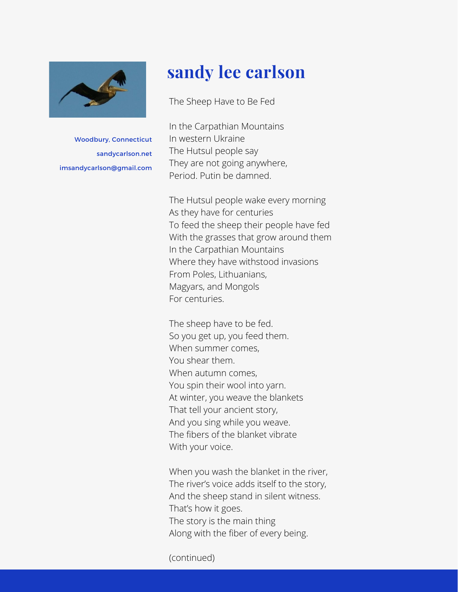

Woodbury, Connecticut sandycarlson.net imsandycarlson@gmail.com

## **sandy lee carlson**

The Sheep Have to Be Fed

In the Carpathian Mountains In western Ukraine The Hutsul people say They are not going anywhere, Period. Putin be damned.

The Hutsul people wake every morning As they have for centuries To feed the sheep their people have fed With the grasses that grow around them In the Carpathian Mountains Where they have withstood invasions From Poles, Lithuanians, Magyars, and Mongols For centuries.

The sheep have to be fed. So you get up, you feed them. When summer comes, You shear them. When autumn comes, You spin their wool into yarn. At winter, you weave the blankets That tell your ancient story, And you sing while you weave. The fibers of the blanket vibrate With your voice.

When you wash the blanket in the river, The river's voice adds itself to the story, And the sheep stand in silent witness. That's how it goes. The story is the main thing Along with the fiber of every being.

(continued)